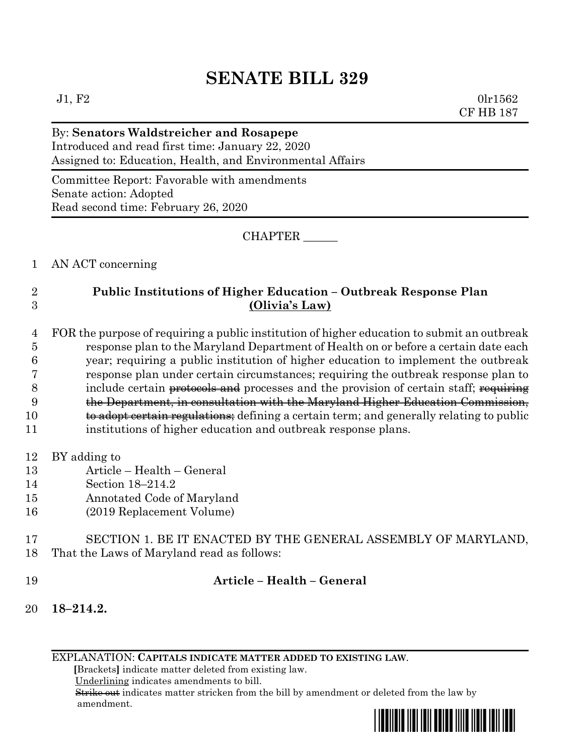# **SENATE BILL 329**

 $J1, F2$  0lr1562 CF HB 187

## By: **Senators Waldstreicher and Rosapepe** Introduced and read first time: January 22, 2020 Assigned to: Education, Health, and Environmental Affairs

Committee Report: Favorable with amendments Senate action: Adopted Read second time: February 26, 2020

CHAPTER \_\_\_\_\_\_

#### 1 AN ACT concerning

### 2 **Public Institutions of Higher Education – Outbreak Response Plan** 3 **(Olivia's Law)**

 FOR the purpose of requiring a public institution of higher education to submit an outbreak response plan to the Maryland Department of Health on or before a certain date each year; requiring a public institution of higher education to implement the outbreak response plan under certain circumstances; requiring the outbreak response plan to 8 include certain protocols and processes and the provision of certain staff; requiring the Department, in consultation with the Maryland Higher Education Commission, 10 to a to a to be regulations; defining a certain term; and generally relating to public

- 11 institutions of higher education and outbreak response plans.
- 12 BY adding to
- 13 Article Health General
- 14 Section 18–214.2
- 15 Annotated Code of Maryland
- 16 (2019 Replacement Volume)

#### 17 SECTION 1. BE IT ENACTED BY THE GENERAL ASSEMBLY OF MARYLAND, 18 That the Laws of Maryland read as follows:

## 19 **Article – Health – General**

20 **18–214.2.**

EXPLANATION: **CAPITALS INDICATE MATTER ADDED TO EXISTING LAW**.

 **[**Brackets**]** indicate matter deleted from existing law.

Underlining indicates amendments to bill.

 Strike out indicates matter stricken from the bill by amendment or deleted from the law by amendment.

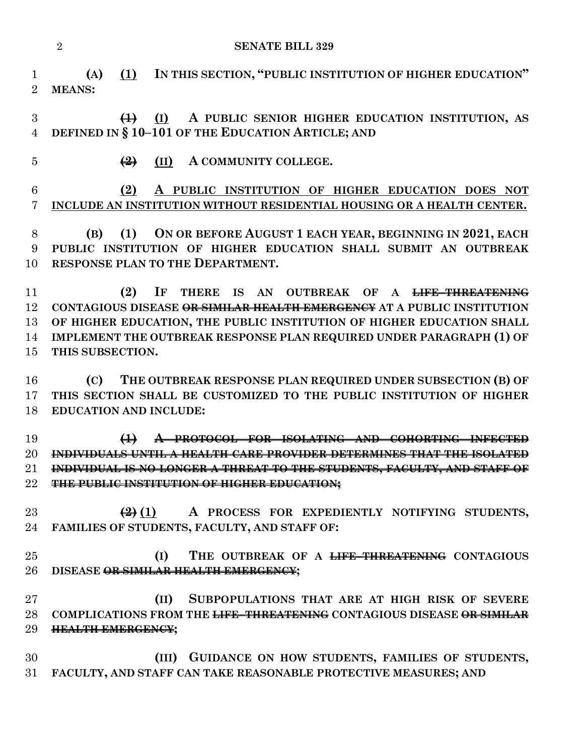**SENATE BILL 329**

 **(A) (1) IN THIS SECTION, "PUBLIC INSTITUTION OF HIGHER EDUCATION" MEANS:**

 **(1) (I) A PUBLIC SENIOR HIGHER EDUCATION INSTITUTION, AS DEFINED IN § 10–101 OF THE EDUCATION ARTICLE; AND**

**(2) (II) A COMMUNITY COLLEGE.**

 **(2) A PUBLIC INSTITUTION OF HIGHER EDUCATION DOES NOT INCLUDE AN INSTITUTION WITHOUT RESIDENTIAL HOUSING OR A HEALTH CENTER.**

 **(B) (1) ON OR BEFORE AUGUST 1 EACH YEAR, BEGINNING IN 2021, EACH PUBLIC INSTITUTION OF HIGHER EDUCATION SHALL SUBMIT AN OUTBREAK RESPONSE PLAN TO THE DEPARTMENT.** 

 **(2) IF THERE IS AN OUTBREAK OF A LIFE–THREATENING CONTAGIOUS DISEASE OR SIMILAR HEALTH EMERGENCY AT A PUBLIC INSTITUTION OF HIGHER EDUCATION, THE PUBLIC INSTITUTION OF HIGHER EDUCATION SHALL IMPLEMENT THE OUTBREAK RESPONSE PLAN REQUIRED UNDER PARAGRAPH (1) OF THIS SUBSECTION.**

 **(C) THE OUTBREAK RESPONSE PLAN REQUIRED UNDER SUBSECTION (B) OF THIS SECTION SHALL BE CUSTOMIZED TO THE PUBLIC INSTITUTION OF HIGHER EDUCATION AND INCLUDE:**

 **(1) A PROTOCOL FOR ISOLATING AND COHORTING INFECTED INDIVIDUALS UNTIL A HEALTH CARE PROVIDER DETERMINES THAT THE ISOLATED INDIVIDUAL IS NO LONGER A THREAT TO THE STUDENTS, FACULTY, AND STAFF OF THE PUBLIC INSTITUTION OF HIGHER EDUCATION;**

 **(2) (1) A PROCESS FOR EXPEDIENTLY NOTIFYING STUDENTS, FAMILIES OF STUDENTS, FACULTY, AND STAFF OF:**

 **(I) THE OUTBREAK OF A LIFE–THREATENING CONTAGIOUS DISEASE OR SIMILAR HEALTH EMERGENCY;**

 **(II) SUBPOPULATIONS THAT ARE AT HIGH RISK OF SEVERE COMPLICATIONS FROM THE LIFE–THREATENING CONTAGIOUS DISEASE OR SIMILAR HEALTH EMERGENCY;**

 **(III) GUIDANCE ON HOW STUDENTS, FAMILIES OF STUDENTS, FACULTY, AND STAFF CAN TAKE REASONABLE PROTECTIVE MEASURES; AND**